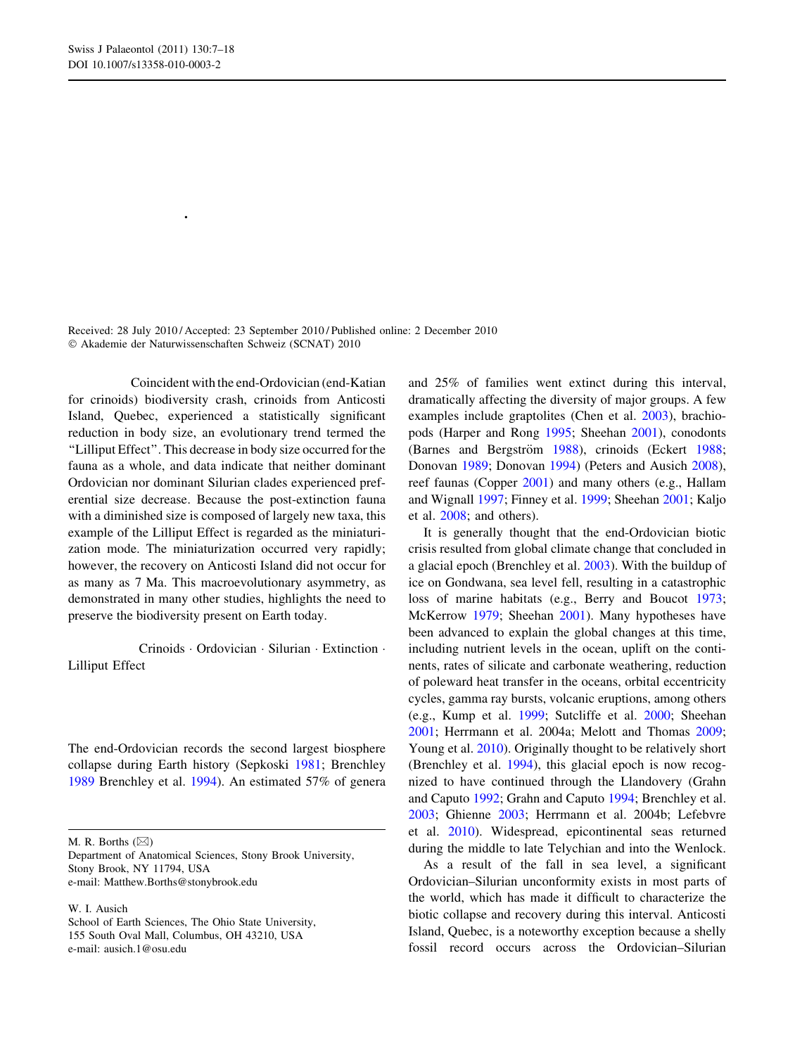# Ordovician–Silurian Lilliput crinoids during the end-Ordovician biotic crisis

Matthew R. Borths • William I. Ausich

Received: 28 July 2010 / Accepted: 23 September 2010 / Published online: 2 December 2010 - Akademie der Naturwissenschaften Schweiz (SCNAT) 2010

Abstract Coincident with the end-Ordovician (end-Katian for crinoids) biodiversity crash, crinoids from Anticosti Island, Quebec, experienced a statistically significant reduction in body size, an evolutionary trend termed the ''Lilliput Effect''. This decrease in body size occurred for the fauna as a whole, and data indicate that neither dominant Ordovician nor dominant Silurian clades experienced preferential size decrease. Because the post-extinction fauna with a diminished size is composed of largely new taxa, this example of the Lilliput Effect is regarded as the miniaturization mode. The miniaturization occurred very rapidly; however, the recovery on Anticosti Island did not occur for as many as 7 Ma. This macroevolutionary asymmetry, as demonstrated in many other studies, highlights the need to preserve the biodiversity present on Earth today.

Keywords Crinoids Ordovician · Silurian · Extinction · Lilliput Effect

### Introduction

The end-Ordovician records the second largest biosphere collapse during Earth history (Sepkoski 1981; Brenchley 1989 Brenchley et al. 1994). An estimated 57% of genera

M. R. Borths  $(\boxtimes)$ 

Department of Anatomical Sciences, Stony Brook University, Stony Brook, NY 11794, USA e-mail: Matthew.Borths@stonybrook.edu

W. I. Ausich

School of Earth Sciences, The Ohio State University, 155 South Oval Mall, Columbus, OH 43210, USA e-mail: ausich.1@osu.edu

and 25% of families went extinct during this interval, dramatically affecting the diversity of major groups. A few examples include graptolites (Chen et al. 2003), brachiopods (Harper and Rong 1995; Sheehan 2001), conodonts (Barnes and Bergström 1988), crinoids (Eckert 1988; Donovan 1989; Donovan 1994) (Peters and Ausich 2008), reef faunas (Copper 2001) and many others (e.g., Hallam and Wignall 1997; Finney et al. 1999; Sheehan 2001; Kaljo et al. 2008; and others).

It is generally thought that the end-Ordovician biotic crisis resulted from global climate change that concluded in a glacial epoch (Brenchley et al. 2003). With the buildup of ice on Gondwana, sea level fell, resulting in a catastrophic loss of marine habitats (e.g., Berry and Boucot 1973; McKerrow 1979; Sheehan 2001). Many hypotheses have been advanced to explain the global changes at this time, including nutrient levels in the ocean, uplift on the continents, rates of silicate and carbonate weathering, reduction of poleward heat transfer in the oceans, orbital eccentricity cycles, gamma ray bursts, volcanic eruptions, among others (e.g., Kump et al. 1999; Sutcliffe et al. 2000; Sheehan 2001; Herrmann et al. 2004a; Melott and Thomas 2009; Young et al. 2010). Originally thought to be relatively short (Brenchley et al. 1994), this glacial epoch is now recognized to have continued through the Llandovery (Grahn and Caputo 1992; Grahn and Caputo 1994; Brenchley et al. 2003; Ghienne 2003; Herrmann et al. 2004b; Lefebvre et al. 2010). Widespread, epicontinental seas returned during the middle to late Telychian and into the Wenlock.

As a result of the fall in sea level, a significant Ordovician–Silurian unconformity exists in most parts of the world, which has made it difficult to characterize the biotic collapse and recovery during this interval. Anticosti Island, Quebec, is a noteworthy exception because a shelly fossil record occurs across the Ordovician–Silurian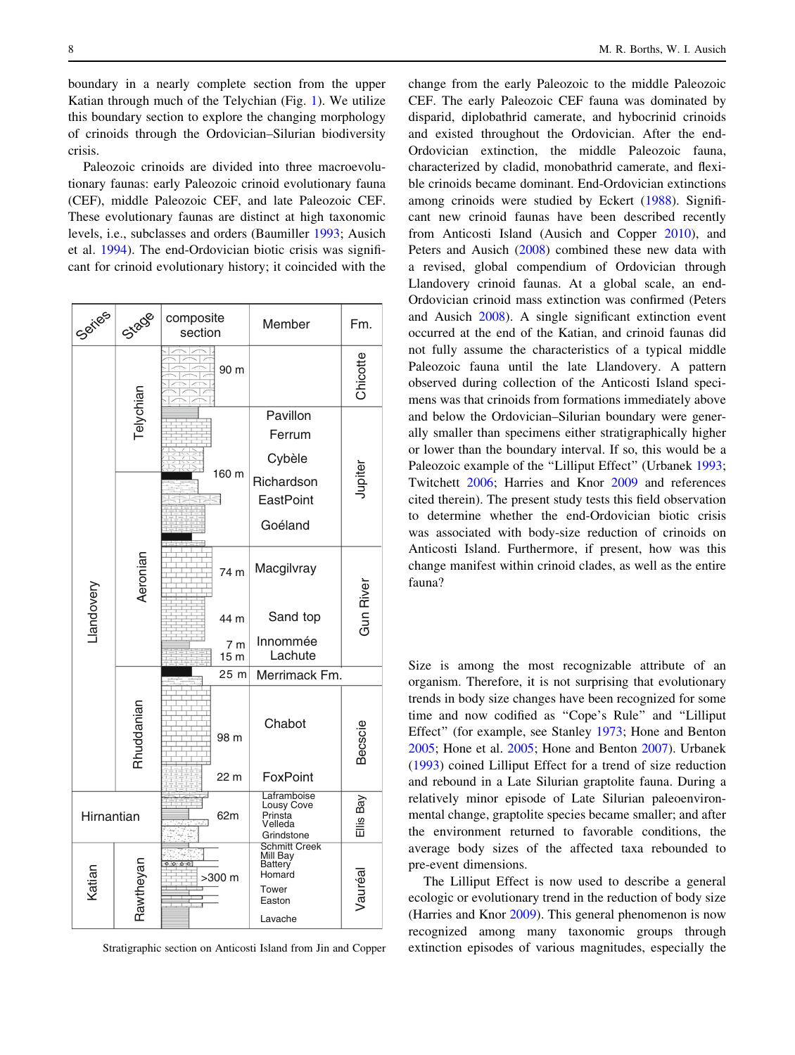<span id="page-1-0"></span>boundary in a nearly complete section from the upper Katian through much of the Telychian (Fig. 1). We utilize this boundary section to explore the changing morphology of crinoids through the Ordovician–Silurian biodiversity crisis.

Paleozoic crinoids are divided into three macroevolutionary faunas: early Paleozoic crinoid evolutionary fauna (CEF), middle Paleozoic CEF, and late Paleozoic CEF. These evolutionary faunas are distinct at high taxonomic levels, i.e., subclasses and orders (Baumiller [1993;](#page-9-0) Ausich et al. [1994](#page-9-0)). The end-Ordovician biotic crisis was significant for crinoid evolutionary history; it coincided with the



Fig. 1 Stratigraphic section on Anticosti Island from Jin and Copper

change from the early Paleozoic to the middle Paleozoic CEF. The early Paleozoic CEF fauna was dominated by disparid, diplobathrid camerate, and hybocrinid crinoids and existed throughout the Ordovician. After the end-Ordovician extinction, the middle Paleozoic fauna, characterized by cladid, monobathrid camerate, and flexible crinoids became dominant. End-Ordovician extinctions among crinoids were studied by Eckert ([1988](#page-10-0)). Significant new crinoid faunas have been described recently from Anticosti Island (Ausich and Copper [2010](#page-9-0)), and Peters and Ausich [\(2008\)](#page-10-0) combined these new data with a revised, global compendium of Ordovician through Llandovery crinoid faunas. At a global scale, an end-Ordovician crinoid mass extinction was confirmed (Peters and Ausich [2008\)](#page-10-0). A single significant extinction event occurred at the end of the Katian, and crinoid faunas did not fully assume the characteristics of a typical middle Paleozoic fauna until the late Llandovery. A pattern observed during collection of the Anticosti Island specimens was that crinoids from formations immediately above and below the Ordovician–Silurian boundary were generally smaller than specimens either stratigraphically higher or lower than the boundary interval. If so, this would be a Paleozoic example of the "Lilliput Effect" (Urbanek [1993](#page-11-0); Twitchett [2006;](#page-11-0) Harries and Knor [2009](#page-10-0) and references cited therein). The present study tests this field observation to determine whether the end-Ordovician biotic crisis was associated with body-size reduction of crinoids on Anticosti Island. Furthermore, if present, how was this change manifest within crinoid clades, as well as the entire fauna?

#### Lilliput Effect

Size is among the most recognizable attribute of an organism. Therefore, it is not surprising that evolutionary trends in body size changes have been recognized for some time and now codified as ''Cope's Rule'' and ''Lilliput Effect'' (for example, see Stanley [1973;](#page-10-0) Hone and Benton [2005](#page-10-0); Hone et al. [2005](#page-10-0); Hone and Benton [2007\)](#page-10-0). Urbanek [\(1993](#page-11-0)) coined Lilliput Effect for a trend of size reduction and rebound in a Late Silurian graptolite fauna. During a relatively minor episode of Late Silurian paleoenvironmental change, graptolite species became smaller; and after the environment returned to favorable conditions, the average body sizes of the affected taxa rebounded to pre-event dimensions.

The Lilliput Effect is now used to describe a general ecologic or evolutionary trend in the reduction of body size (Harries and Knor [2009](#page-10-0)). This general phenomenon is now recognized among many taxonomic groups through extinction episodes of various magnitudes, especially the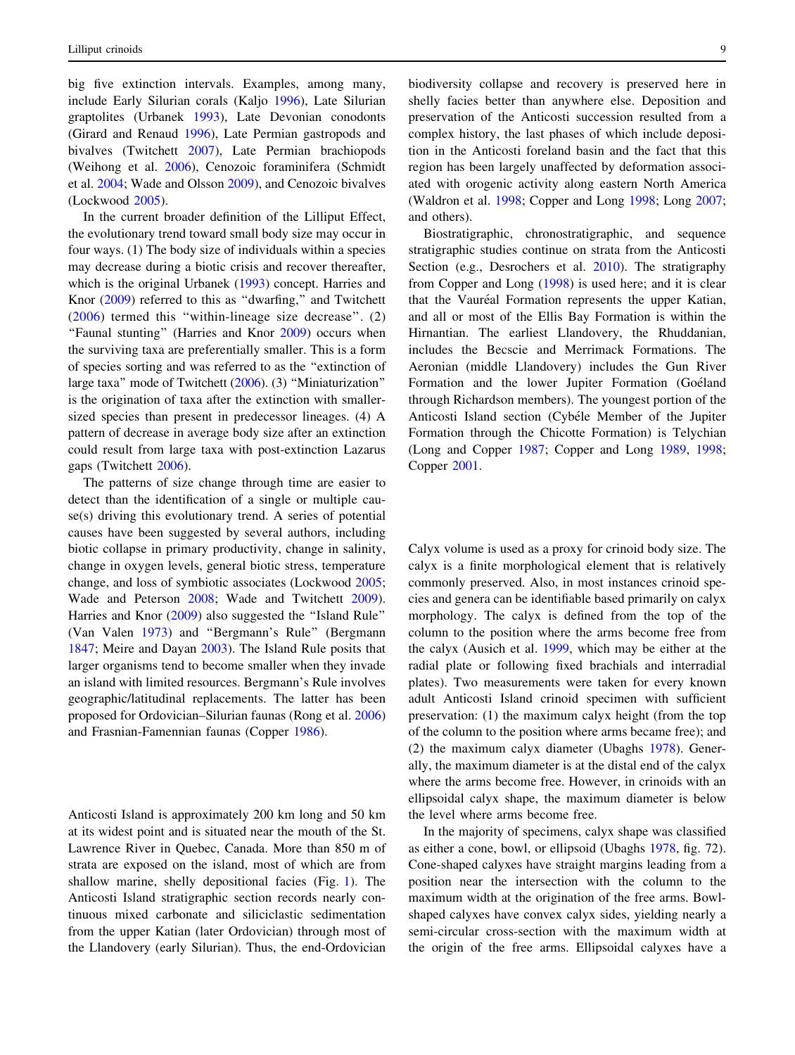big five extinction intervals. Examples, among many, include Early Silurian corals (Kaljo [1996](#page-10-0)), Late Silurian graptolites (Urbanek [1993\)](#page-11-0), Late Devonian conodonts (Girard and Renaud [1996\)](#page-10-0), Late Permian gastropods and bivalves (Twitchett [2007\)](#page-11-0), Late Permian brachiopods (Weihong et al. [2006](#page-11-0)), Cenozoic foraminifera (Schmidt et al. [2004;](#page-10-0) Wade and Olsson [2009\)](#page-11-0), and Cenozoic bivalves (Lockwood [2005](#page-10-0)).

In the current broader definition of the Lilliput Effect, the evolutionary trend toward small body size may occur in four ways. (1) The body size of individuals within a species may decrease during a biotic crisis and recover thereafter, which is the original Urbanek ([1993\)](#page-11-0) concept. Harries and Knor [\(2009](#page-10-0)) referred to this as ''dwarfing,'' and Twitchett ([2006](#page-11-0)) termed this ''within-lineage size decrease''. (2) "Faunal stunting" (Harries and Knor [2009\)](#page-10-0) occurs when the surviving taxa are preferentially smaller. This is a form of species sorting and was referred to as the ''extinction of large taxa'' mode of Twitchett ([2006](#page-11-0)). (3) ''Miniaturization'' is the origination of taxa after the extinction with smallersized species than present in predecessor lineages. (4) A pattern of decrease in average body size after an extinction could result from large taxa with post-extinction Lazarus gaps (Twitchett [2006\)](#page-11-0).

The patterns of size change through time are easier to detect than the identification of a single or multiple cause(s) driving this evolutionary trend. A series of potential causes have been suggested by several authors, including biotic collapse in primary productivity, change in salinity, change in oxygen levels, general biotic stress, temperature change, and loss of symbiotic associates (Lockwood [2005](#page-10-0); Wade and Peterson [2008;](#page-11-0) Wade and Twitchett [2009](#page-11-0)). Harries and Knor [\(2009](#page-10-0)) also suggested the ''Island Rule'' (Van Valen [1973\)](#page-11-0) and ''Bergmann's Rule'' (Bergmann [1847;](#page-9-0) Meire and Dayan [2003\)](#page-10-0). The Island Rule posits that larger organisms tend to become smaller when they invade an island with limited resources. Bergmann's Rule involves geographic/latitudinal replacements. The latter has been proposed for Ordovician–Silurian faunas (Rong et al. [2006\)](#page-10-0) and Frasnian-Famennian faunas (Copper [1986\)](#page-9-0).

## Anticosti Island stratigraphy

Anticosti Island is approximately 200 km long and 50 km at its widest point and is situated near the mouth of the St. Lawrence River in Quebec, Canada. More than 850 m of strata are exposed on the island, most of which are from shallow marine, shelly depositional facies (Fig. [1](#page-1-0)). The Anticosti Island stratigraphic section records nearly continuous mixed carbonate and siliciclastic sedimentation from the upper Katian (later Ordovician) through most of the Llandovery (early Silurian). Thus, the end-Ordovician

biodiversity collapse and recovery is preserved here in shelly facies better than anywhere else. Deposition and preservation of the Anticosti succession resulted from a complex history, the last phases of which include deposition in the Anticosti foreland basin and the fact that this region has been largely unaffected by deformation associated with orogenic activity along eastern North America (Waldron et al. [1998;](#page-11-0) Copper and Long [1998](#page-9-0); Long [2007](#page-10-0); and others).

Biostratigraphic, chronostratigraphic, and sequence stratigraphic studies continue on strata from the Anticosti Section (e.g., Desrochers et al. [2010\)](#page-10-0). The stratigraphy from Copper and Long ([1998\)](#page-9-0) is used here; and it is clear that the Vauréal Formation represents the upper Katian, and all or most of the Ellis Bay Formation is within the Hirnantian. The earliest Llandovery, the Rhuddanian, includes the Becscie and Merrimack Formations. The Aeronian (middle Llandovery) includes the Gun River Formation and the lower Jupiter Formation (Goéland through Richardson members). The youngest portion of the Anticosti Island section (Cybéle Member of the Jupiter Formation through the Chicotte Formation) is Telychian (Long and Copper [1987](#page-10-0); Copper and Long [1989](#page-9-0), [1998](#page-9-0); Copper [2001.](#page-9-0)

# Methods

Calyx volume is used as a proxy for crinoid body size. The calyx is a finite morphological element that is relatively commonly preserved. Also, in most instances crinoid species and genera can be identifiable based primarily on calyx morphology. The calyx is defined from the top of the column to the position where the arms become free from the calyx (Ausich et al. [1999,](#page-9-0) which may be either at the radial plate or following fixed brachials and interradial plates). Two measurements were taken for every known adult Anticosti Island crinoid specimen with sufficient preservation: (1) the maximum calyx height (from the top of the column to the position where arms became free); and (2) the maximum calyx diameter (Ubaghs [1978](#page-11-0)). Generally, the maximum diameter is at the distal end of the calyx where the arms become free. However, in crinoids with an ellipsoidal calyx shape, the maximum diameter is below the level where arms become free.

In the majority of specimens, calyx shape was classified as either a cone, bowl, or ellipsoid (Ubaghs [1978,](#page-11-0) fig. 72). Cone-shaped calyxes have straight margins leading from a position near the intersection with the column to the maximum width at the origination of the free arms. Bowlshaped calyxes have convex calyx sides, yielding nearly a semi-circular cross-section with the maximum width at the origin of the free arms. Ellipsoidal calyxes have a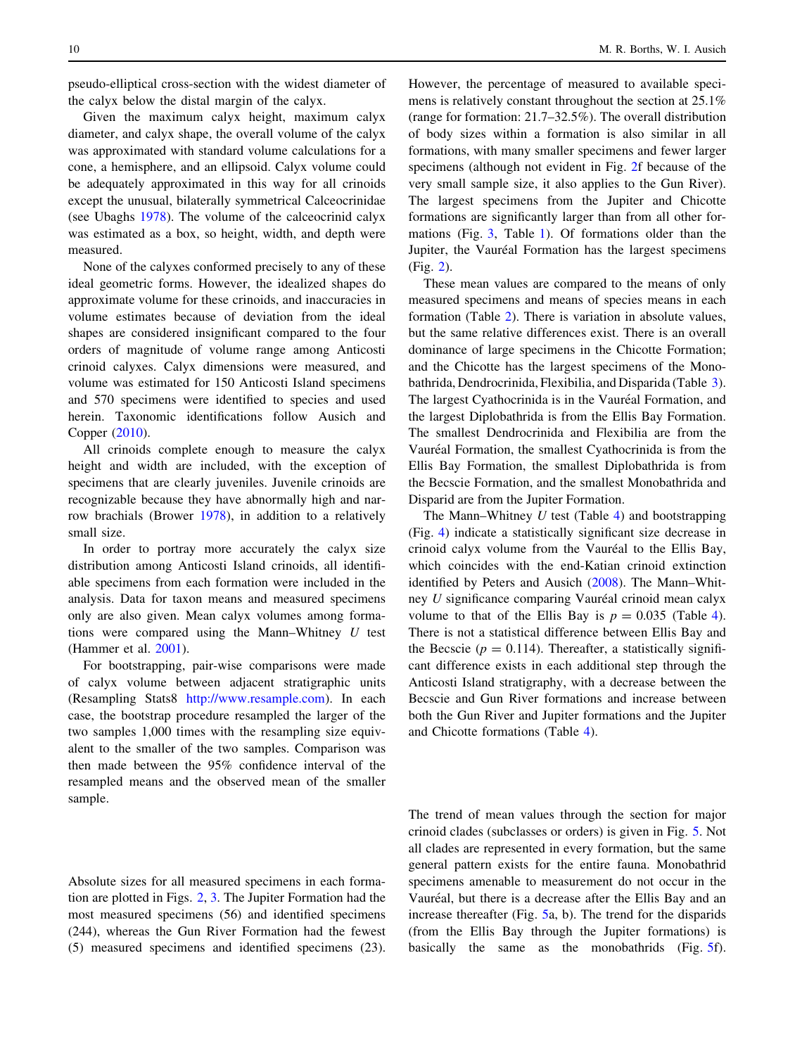pseudo-elliptical cross-section with the widest diameter of the calyx below the distal margin of the calyx.

Given the maximum calyx height, maximum calyx diameter, and calyx shape, the overall volume of the calyx was approximated with standard volume calculations for a cone, a hemisphere, and an ellipsoid. Calyx volume could be adequately approximated in this way for all crinoids except the unusual, bilaterally symmetrical Calceocrinidae (see Ubaghs [1978\)](#page-11-0). The volume of the calceocrinid calyx was estimated as a box, so height, width, and depth were measured.

None of the calyxes conformed precisely to any of these ideal geometric forms. However, the idealized shapes do approximate volume for these crinoids, and inaccuracies in volume estimates because of deviation from the ideal shapes are considered insignificant compared to the four orders of magnitude of volume range among Anticosti crinoid calyxes. Calyx dimensions were measured, and volume was estimated for 150 Anticosti Island specimens and 570 specimens were identified to species and used herein. Taxonomic identifications follow Ausich and Copper [\(2010](#page-9-0)).

All crinoids complete enough to measure the calyx height and width are included, with the exception of specimens that are clearly juveniles. Juvenile crinoids are recognizable because they have abnormally high and narrow brachials (Brower [1978\)](#page-9-0), in addition to a relatively small size.

In order to portray more accurately the calyx size distribution among Anticosti Island crinoids, all identifiable specimens from each formation were included in the analysis. Data for taxon means and measured specimens only are also given. Mean calyx volumes among formations were compared using the Mann–Whitney  $U$  test (Hammer et al. [2001](#page-10-0)).

For bootstrapping, pair-wise comparisons were made of calyx volume between adjacent stratigraphic units (Resampling Stats8 [http://www.resample.com\)](http://www.resample.com). In each case, the bootstrap procedure resampled the larger of the two samples 1,000 times with the resampling size equivalent to the smaller of the two samples. Comparison was then made between the 95% confidence interval of the resampled means and the observed mean of the smaller sample.

## Results for the entire fauna

Absolute sizes for all measured specimens in each formation are plotted in Figs. [2,](#page-4-0) [3.](#page-4-0) The Jupiter Formation had the most measured specimens (56) and identified specimens (244), whereas the Gun River Formation had the fewest (5) measured specimens and identified specimens (23).

However, the percentage of measured to available specimens is relatively constant throughout the section at 25.1% (range for formation: 21.7–32.5%). The overall distribution of body sizes within a formation is also similar in all formations, with many smaller specimens and fewer larger specimens (although not evident in Fig. [2](#page-4-0)f because of the very small sample size, it also applies to the Gun River). The largest specimens from the Jupiter and Chicotte formations are significantly larger than from all other formations (Fig. [3](#page-4-0), Table [1](#page-5-0)). Of formations older than the Jupiter, the Vauréal Formation has the largest specimens (Fig. [2\)](#page-4-0).

These mean values are compared to the means of only measured specimens and means of species means in each formation (Table [2](#page-5-0)). There is variation in absolute values, but the same relative differences exist. There is an overall dominance of large specimens in the Chicotte Formation; and the Chicotte has the largest specimens of the Monobathrida, Dendrocrinida, Flexibilia, and Disparida (Table [3](#page-5-0)). The largest Cyathocrinida is in the Vauréal Formation, and the largest Diplobathrida is from the Ellis Bay Formation. The smallest Dendrocrinida and Flexibilia are from the Vauréal Formation, the smallest Cyathocrinida is from the Ellis Bay Formation, the smallest Diplobathrida is from the Becscie Formation, and the smallest Monobathrida and Disparid are from the Jupiter Formation.

The Mann–Whitney  $U$  test (Table [4\)](#page-5-0) and bootstrapping (Fig. [4\)](#page-6-0) indicate a statistically significant size decrease in crinoid calyx volume from the Vauréal to the Ellis Bay, which coincides with the end-Katian crinoid extinction identified by Peters and Ausich ([2008\)](#page-10-0). The Mann–Whitney  $U$  significance comparing Vauréal crinoid mean calyx volume to that of the Ellis Bay is  $p = 0.035$  (Table [4](#page-5-0)). There is not a statistical difference between Ellis Bay and the Becscie ( $p = 0.114$ ). Thereafter, a statistically significant difference exists in each additional step through the Anticosti Island stratigraphy, with a decrease between the Becscie and Gun River formations and increase between both the Gun River and Jupiter formations and the Jupiter and Chicotte formations (Table [4](#page-5-0)).

#### Evolutionary trends within clades

The trend of mean values through the section for major crinoid clades (subclasses or orders) is given in Fig. [5](#page-6-0). Not all clades are represented in every formation, but the same general pattern exists for the entire fauna. Monobathrid specimens amenable to measurement do not occur in the Vauréal, but there is a decrease after the Ellis Bay and an increase thereafter (Fig. [5](#page-6-0)a, b). The trend for the disparids (from the Ellis Bay through the Jupiter formations) is basically the same as the monobathrids (Fig. [5](#page-6-0)f).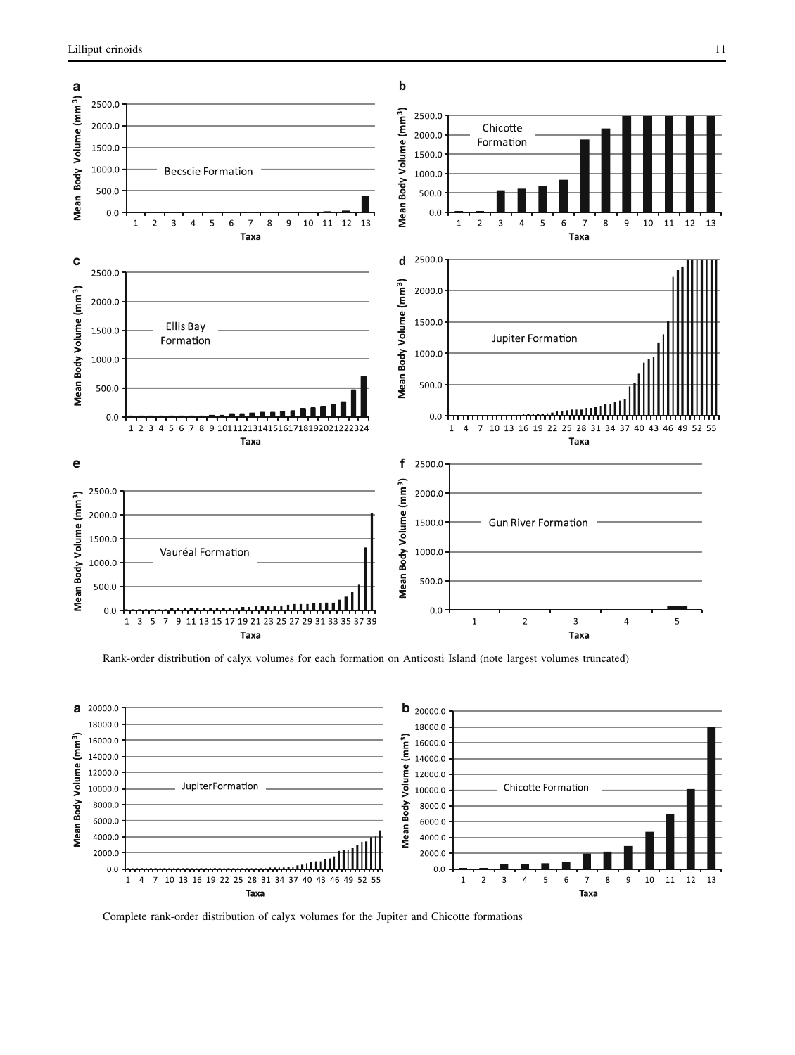<span id="page-4-0"></span>

Fig. 2 Rank-order distribution of calyx volumes for each formation on Anticosti Island (note largest volumes truncated)



Fig. 3 Complete rank-order distribution of calyx volumes for the Jupiter and Chicotte formations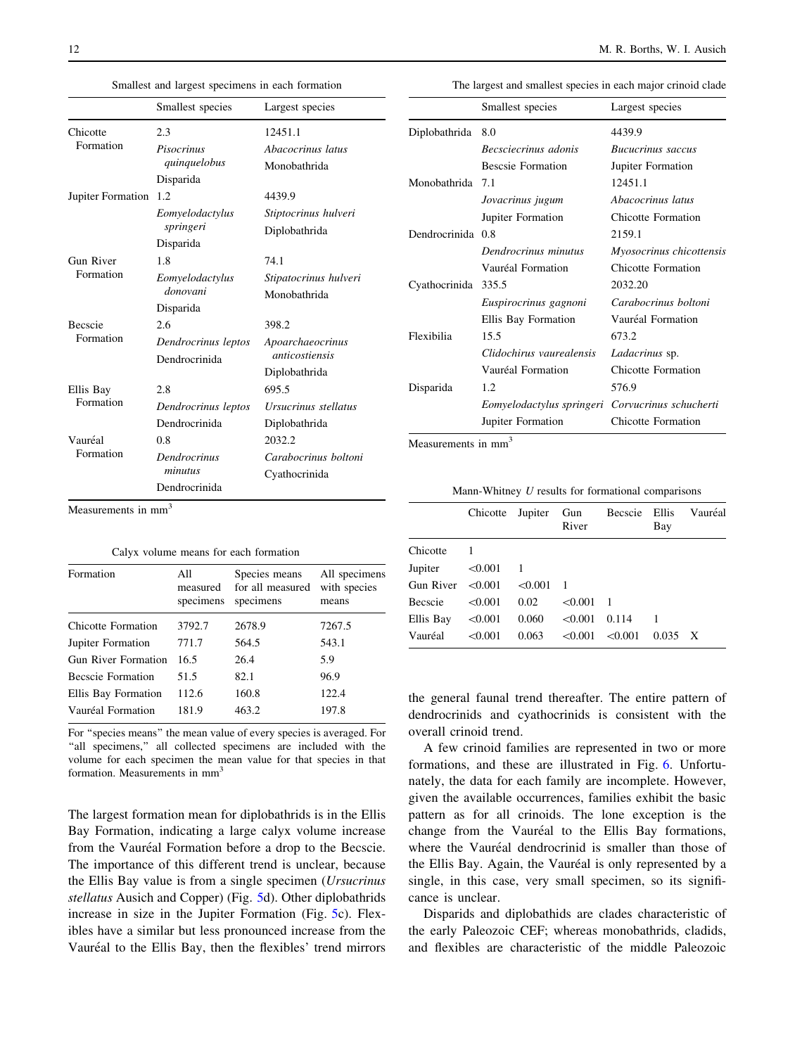<span id="page-5-0"></span>Table 1 Smallest and largest specimens in each formation

|                             | Smallest species                                              | Largest species                                                     |  |  |
|-----------------------------|---------------------------------------------------------------|---------------------------------------------------------------------|--|--|
| Chicotte<br>Formation       | 2.3<br>Pisocrinus<br>quinquelobus                             | 12451.1<br>Abacocrinus latus<br>Monobathrida                        |  |  |
| Jupiter Formation           | Disparida<br>1.2<br>Eomyelodactylus<br>springeri<br>Disparida | 4439.9<br>Stiptocrinus hulveri<br>Diplobathrida                     |  |  |
| Gun River<br>Formation      | 1.8<br>Eomvelodactylus<br>donovani<br>Disparida               | 74.1<br>Stipatocrinus hulveri<br>Monobathrida                       |  |  |
| <b>Becscie</b><br>Formation | 2.6<br>Dendrocrinus leptos<br>Dendrocrinida                   | 398.2<br>Apoarchaeocrinus<br><i>anticostiensis</i><br>Diplobathrida |  |  |
| Ellis Bay<br>Formation      | 2.8<br>Dendrocrinus leptos<br>Dendrocrinida                   | 695.5<br>Ursucrinus stellatus<br>Diplobathrida                      |  |  |
| Vauréal<br>Formation        | 0.8<br>Dendrocrinus<br>minutus<br>Dendrocrinida               | 2032.2<br>Carabocrinus boltoni<br>Cyathocrinida                     |  |  |

Measurements in mm<sup>3</sup>

Table 2 Calyx volume means for each formation

| with species |
|--------------|
|              |
|              |
|              |
|              |
|              |
|              |
|              |

For ''species means'' the mean value of every species is averaged. For "all specimens," all collected specimens are included with the volume for each specimen the mean value for that species in that formation. Measurements in mm<sup>3</sup>

The largest formation mean for diplobathrids is in the Ellis Bay Formation, indicating a large calyx volume increase from the Vauréal Formation before a drop to the Becscie. The importance of this different trend is unclear, because the Ellis Bay value is from a single specimen (Ursucrinus stellatus Ausich and Copper) (Fig. [5d](#page-6-0)). Other diplobathrids increase in size in the Jupiter Formation (Fig. [5](#page-6-0)c). Flexibles have a similar but less pronounced increase from the Vauréal to the Ellis Bay, then the flexibles' trend mirrors

Table 3 The largest and smallest species in each major crinoid clade

|               | Smallest species          | Largest species           |  |  |
|---------------|---------------------------|---------------------------|--|--|
| Diplobathrida | 8.0                       | 4439.9                    |  |  |
|               | Becsciecrinus adonis      | <b>Bucucrinus</b> saccus  |  |  |
|               | <b>Bescsie Formation</b>  | Jupiter Formation         |  |  |
| Monobathrida  | 7.1                       | 12451.1                   |  |  |
|               | Jovacrinus jugum          | Abacocrinus latus         |  |  |
|               | Jupiter Formation         | Chicotte Formation        |  |  |
| Dendrocrinida | 0.8                       | 2159.1                    |  |  |
|               | Dendrocrinus minutus      | Myosocrinus chicottensis  |  |  |
|               | Vauréal Formation         | Chicotte Formation        |  |  |
| Cyathocrinida | 335.5                     | 2032.20                   |  |  |
|               | Euspirocrinus gagnoni     | Carabocrinus boltoni      |  |  |
|               | Ellis Bay Formation       | Vauréal Formation         |  |  |
| Flexibilia    | 15.5                      | 673.2                     |  |  |
|               | Clidochirus vaurealensis  | Ladacrinus sp.            |  |  |
|               | Vauréal Formation         | Chicotte Formation        |  |  |
| Disparida     | 1.2                       | 576.9                     |  |  |
|               | Eomyelodactylus springeri | Corvucrinus schucherti    |  |  |
|               | Jupiter Formation         | <b>Chicotte Formation</b> |  |  |

Table 4 Mann-Whitney  $U$  results for formational comparisons

|                        | Chicotte Jupiter |         | Gun<br>River | Becscie | Ellis<br>Bay   | Vauréal |
|------------------------|------------------|---------|--------------|---------|----------------|---------|
| Chicotte               |                  |         |              |         |                |         |
| Jupiter                | < 0.001          |         |              |         |                |         |
| Gun River $\leq 0.001$ |                  | < 0.001 |              |         |                |         |
| Becscie                | < 0.001          | 0.02    | < 0.001      |         |                |         |
| Ellis Bay              | < 0.001          | 0.060   | < 0.001      | 0.114   |                |         |
| Vauréal                | < 0.001          | 0.063   | < 0.001      | < 0.001 | $0.035 \times$ |         |

the general faunal trend thereafter. The entire pattern of dendrocrinids and cyathocrinids is consistent with the overall crinoid trend.

A few crinoid families are represented in two or more formations, and these are illustrated in Fig. [6.](#page-7-0) Unfortunately, the data for each family are incomplete. However, given the available occurrences, families exhibit the basic pattern as for all crinoids. The lone exception is the change from the Vauréal to the Ellis Bay formations, where the Vauréal dendrocrinid is smaller than those of the Ellis Bay. Again, the Vauréal is only represented by a single, in this case, very small specimen, so its significance is unclear.

Disparids and diplobathids are clades characteristic of the early Paleozoic CEF; whereas monobathrids, cladids, and flexibles are characteristic of the middle Paleozoic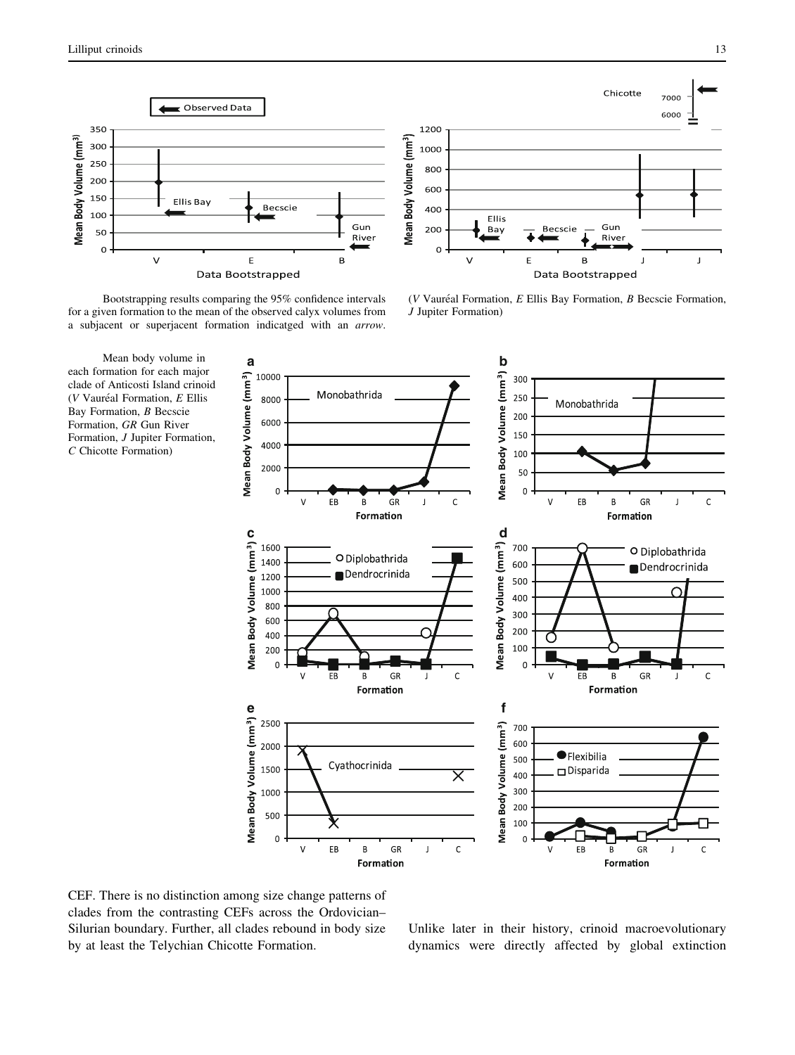<span id="page-6-0"></span>



( $V$  Vauréal Formation,  $E$  Ellis Bay Formation,  $B$  Becscie Formation,

Fig. 4 Bootstrapping results comparing the 95% confidence intervals for a given formation to the mean of the observed calyx volumes from a subjacent or superjacent formation indicatged with an arrow.





J Jupiter Formation)

CEF. There is no distinction among size change patterns of clades from the contrasting CEFs across the Ordovician– Silurian boundary. Further, all clades rebound in body size by at least the Telychian Chicotte Formation.

## **Discussion**

Unlike later in their history, crinoid macroevolutionary dynamics were directly affected by global extinction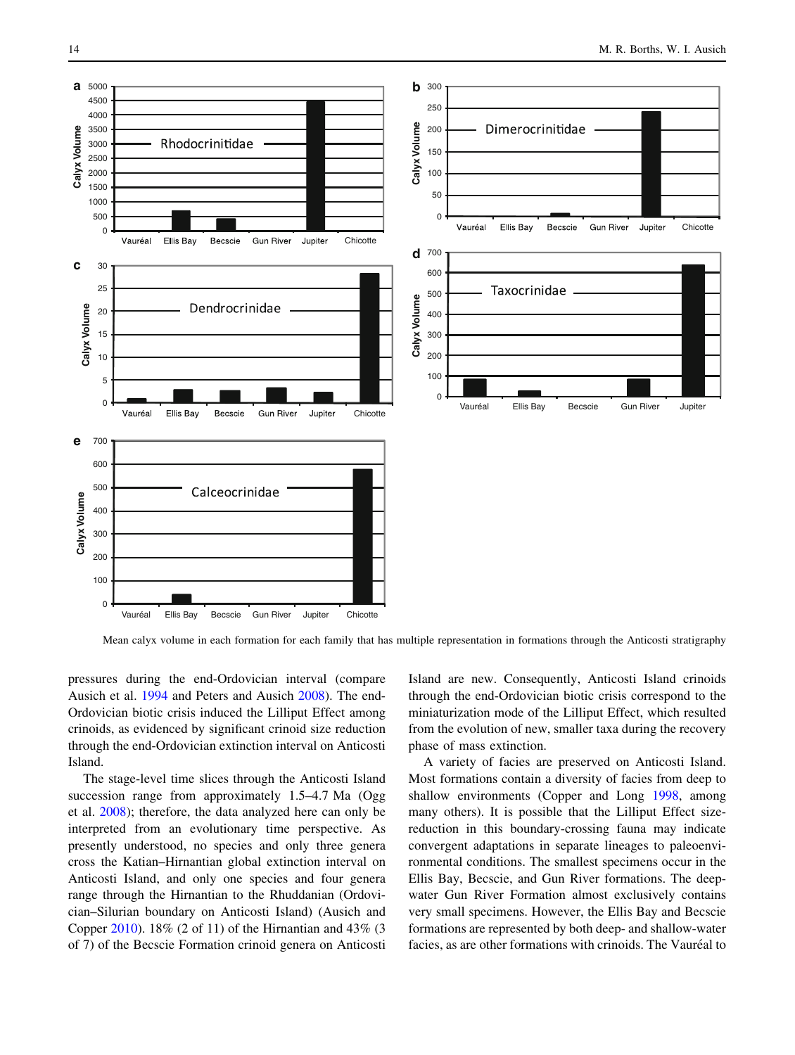<span id="page-7-0"></span>

Fig. 6 Mean calyx volume in each formation for each family that has multiple representation in formations through the Anticosti stratigraphy

pressures during the end-Ordovician interval (compare Ausich et al. [1994](#page-9-0) and Peters and Ausich [2008\)](#page-10-0). The end-Ordovician biotic crisis induced the Lilliput Effect among crinoids, as evidenced by significant crinoid size reduction through the end-Ordovician extinction interval on Anticosti Island.

The stage-level time slices through the Anticosti Island succession range from approximately 1.5–4.7 Ma (Ogg et al. [2008\)](#page-10-0); therefore, the data analyzed here can only be interpreted from an evolutionary time perspective. As presently understood, no species and only three genera cross the Katian–Hirnantian global extinction interval on Anticosti Island, and only one species and four genera range through the Hirnantian to the Rhuddanian (Ordovician–Silurian boundary on Anticosti Island) (Ausich and Copper [2010](#page-9-0)). 18% (2 of 11) of the Hirnantian and 43% (3 of 7) of the Becscie Formation crinoid genera on Anticosti Island are new. Consequently, Anticosti Island crinoids through the end-Ordovician biotic crisis correspond to the miniaturization mode of the Lilliput Effect, which resulted from the evolution of new, smaller taxa during the recovery phase of mass extinction.

A variety of facies are preserved on Anticosti Island. Most formations contain a diversity of facies from deep to shallow environments (Copper and Long [1998,](#page-9-0) among many others). It is possible that the Lilliput Effect sizereduction in this boundary-crossing fauna may indicate convergent adaptations in separate lineages to paleoenvironmental conditions. The smallest specimens occur in the Ellis Bay, Becscie, and Gun River formations. The deepwater Gun River Formation almost exclusively contains very small specimens. However, the Ellis Bay and Becscie formations are represented by both deep- and shallow-water facies, as are other formations with crinoids. The Vauréal to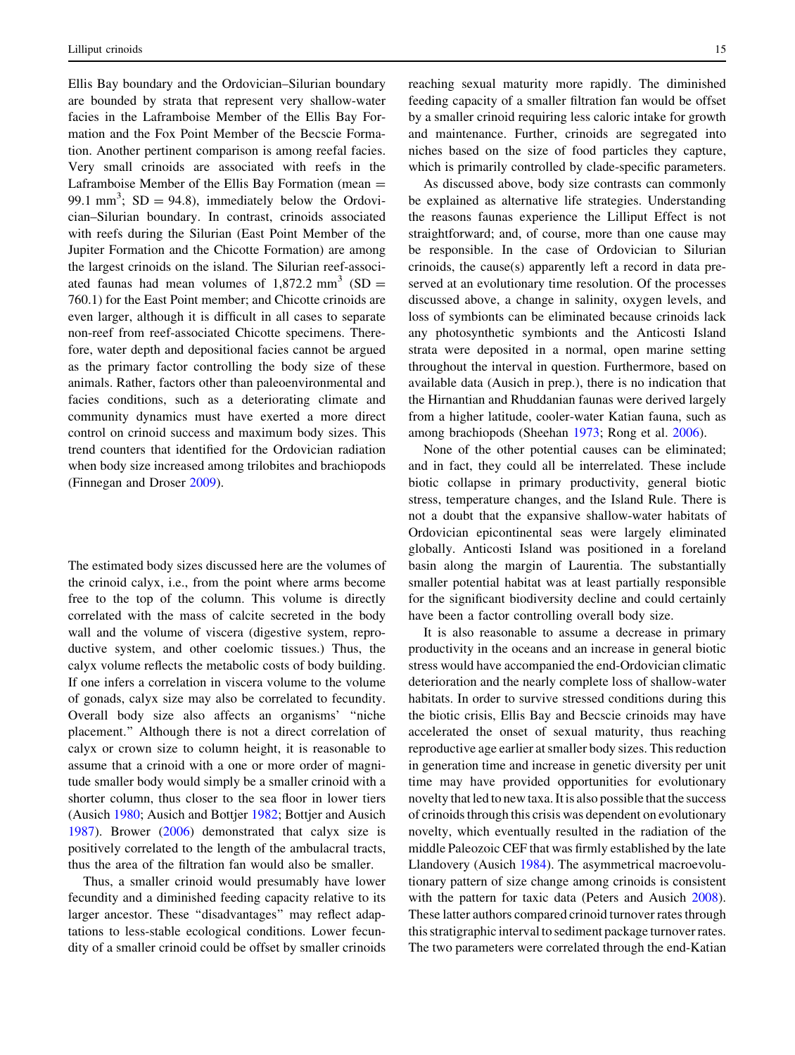Ellis Bay boundary and the Ordovician–Silurian boundary are bounded by strata that represent very shallow-water facies in the Laframboise Member of the Ellis Bay Formation and the Fox Point Member of the Becscie Formation. Another pertinent comparison is among reefal facies. Very small crinoids are associated with reefs in the Laframboise Member of the Ellis Bay Formation (mean  $=$ 99.1 mm<sup>3</sup>; SD = 94.8), immediately below the Ordovician–Silurian boundary. In contrast, crinoids associated with reefs during the Silurian (East Point Member of the Jupiter Formation and the Chicotte Formation) are among the largest crinoids on the island. The Silurian reef-associated faunas had mean volumes of  $1,872.2$  mm<sup>3</sup> (SD = 760.1) for the East Point member; and Chicotte crinoids are even larger, although it is difficult in all cases to separate non-reef from reef-associated Chicotte specimens. Therefore, water depth and depositional facies cannot be argued as the primary factor controlling the body size of these animals. Rather, factors other than paleoenvironmental and facies conditions, such as a deteriorating climate and community dynamics must have exerted a more direct control on crinoid success and maximum body sizes. This trend counters that identified for the Ordovician radiation when body size increased among trilobites and brachiopods (Finnegan and Droser [2009](#page-10-0)).

# Getting small

The estimated body sizes discussed here are the volumes of the crinoid calyx, i.e., from the point where arms become free to the top of the column. This volume is directly correlated with the mass of calcite secreted in the body wall and the volume of viscera (digestive system, reproductive system, and other coelomic tissues.) Thus, the calyx volume reflects the metabolic costs of body building. If one infers a correlation in viscera volume to the volume of gonads, calyx size may also be correlated to fecundity. Overall body size also affects an organisms' ''niche placement.'' Although there is not a direct correlation of calyx or crown size to column height, it is reasonable to assume that a crinoid with a one or more order of magnitude smaller body would simply be a smaller crinoid with a shorter column, thus closer to the sea floor in lower tiers (Ausich [1980](#page-9-0); Ausich and Bottjer [1982](#page-9-0); Bottjer and Ausich [1987\)](#page-9-0). Brower [\(2006](#page-9-0)) demonstrated that calyx size is positively correlated to the length of the ambulacral tracts, thus the area of the filtration fan would also be smaller.

Thus, a smaller crinoid would presumably have lower fecundity and a diminished feeding capacity relative to its larger ancestor. These ''disadvantages'' may reflect adaptations to less-stable ecological conditions. Lower fecundity of a smaller crinoid could be offset by smaller crinoids reaching sexual maturity more rapidly. The diminished feeding capacity of a smaller filtration fan would be offset by a smaller crinoid requiring less caloric intake for growth and maintenance. Further, crinoids are segregated into niches based on the size of food particles they capture, which is primarily controlled by clade-specific parameters.

As discussed above, body size contrasts can commonly be explained as alternative life strategies. Understanding the reasons faunas experience the Lilliput Effect is not straightforward; and, of course, more than one cause may be responsible. In the case of Ordovician to Silurian crinoids, the cause(s) apparently left a record in data preserved at an evolutionary time resolution. Of the processes discussed above, a change in salinity, oxygen levels, and loss of symbionts can be eliminated because crinoids lack any photosynthetic symbionts and the Anticosti Island strata were deposited in a normal, open marine setting throughout the interval in question. Furthermore, based on available data (Ausich in prep.), there is no indication that the Hirnantian and Rhuddanian faunas were derived largely from a higher latitude, cooler-water Katian fauna, such as among brachiopods (Sheehan [1973](#page-10-0); Rong et al. [2006](#page-10-0)).

None of the other potential causes can be eliminated; and in fact, they could all be interrelated. These include biotic collapse in primary productivity, general biotic stress, temperature changes, and the Island Rule. There is not a doubt that the expansive shallow-water habitats of Ordovician epicontinental seas were largely eliminated globally. Anticosti Island was positioned in a foreland basin along the margin of Laurentia. The substantially smaller potential habitat was at least partially responsible for the significant biodiversity decline and could certainly have been a factor controlling overall body size.

It is also reasonable to assume a decrease in primary productivity in the oceans and an increase in general biotic stress would have accompanied the end-Ordovician climatic deterioration and the nearly complete loss of shallow-water habitats. In order to survive stressed conditions during this the biotic crisis, Ellis Bay and Becscie crinoids may have accelerated the onset of sexual maturity, thus reaching reproductive age earlier at smaller body sizes. This reduction in generation time and increase in genetic diversity per unit time may have provided opportunities for evolutionary novelty that led to new taxa. It is also possible that the success of crinoids through this crisis was dependent on evolutionary novelty, which eventually resulted in the radiation of the middle Paleozoic CEF that was firmly established by the late Llandovery (Ausich [1984\)](#page-9-0). The asymmetrical macroevolutionary pattern of size change among crinoids is consistent with the pattern for taxic data (Peters and Ausich [2008](#page-10-0)). These latter authors compared crinoid turnover rates through this stratigraphic interval to sediment package turnover rates. The two parameters were correlated through the end-Katian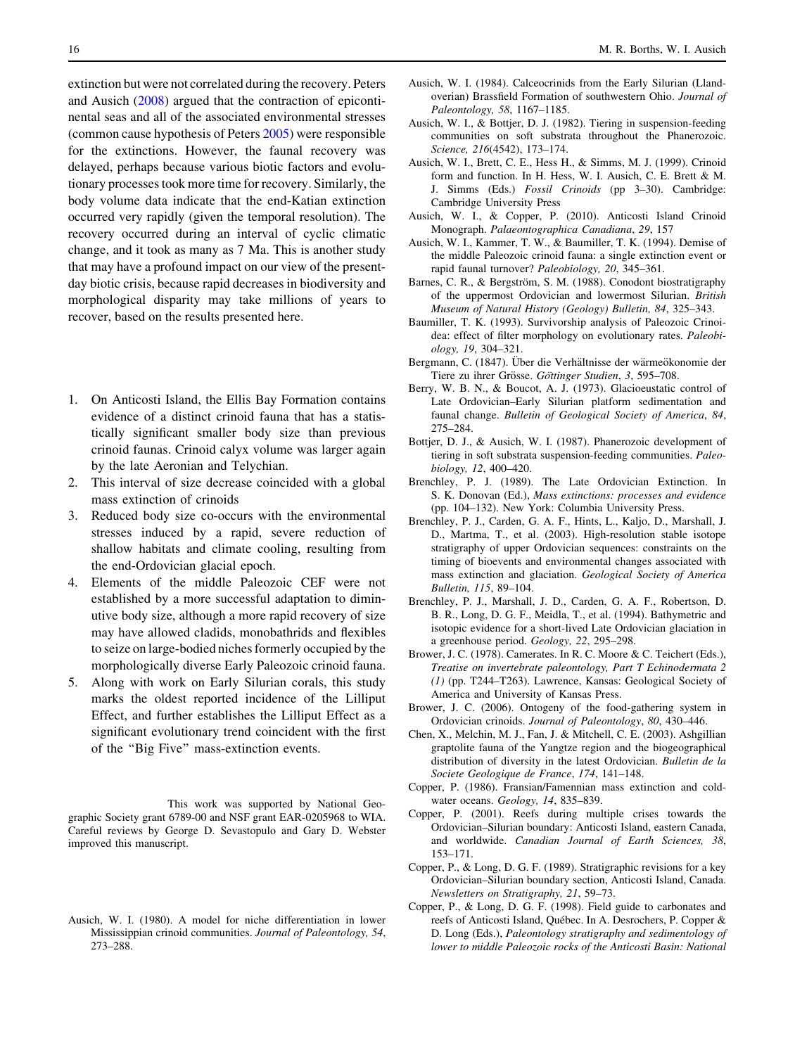<span id="page-9-0"></span>extinction but were not correlated during the recovery. Peters and Ausich [\(2008](#page-10-0)) argued that the contraction of epicontinental seas and all of the associated environmental stresses (common cause hypothesis of Peters [2005\)](#page-10-0) were responsible for the extinctions. However, the faunal recovery was delayed, perhaps because various biotic factors and evolutionary processes took more time for recovery. Similarly, the body volume data indicate that the end-Katian extinction occurred very rapidly (given the temporal resolution). The recovery occurred during an interval of cyclic climatic change, and it took as many as 7 Ma. This is another study that may have a profound impact on our view of the presentday biotic crisis, because rapid decreases in biodiversity and morphological disparity may take millions of years to recover, based on the results presented here.

# **Conclusions**

- 1. On Anticosti Island, the Ellis Bay Formation contains evidence of a distinct crinoid fauna that has a statistically significant smaller body size than previous crinoid faunas. Crinoid calyx volume was larger again by the late Aeronian and Telychian.
- 2. This interval of size decrease coincided with a global mass extinction of crinoids
- 3. Reduced body size co-occurs with the environmental stresses induced by a rapid, severe reduction of shallow habitats and climate cooling, resulting from the end-Ordovician glacial epoch.
- 4. Elements of the middle Paleozoic CEF were not established by a more successful adaptation to diminutive body size, although a more rapid recovery of size may have allowed cladids, monobathrids and flexibles to seize on large-bodied niches formerly occupied by the morphologically diverse Early Paleozoic crinoid fauna.
- 5. Along with work on Early Silurian corals, this study marks the oldest reported incidence of the Lilliput Effect, and further establishes the Lilliput Effect as a significant evolutionary trend coincident with the first of the ''Big Five'' mass-extinction events.

Acknowledgments This work was supported by National Geographic Society grant 6789-00 and NSF grant EAR-0205968 to WIA. Careful reviews by George D. Sevastopulo and Gary D. Webster improved this manuscript.

## References

Ausich, W. I. (1980). A model for niche differentiation in lower Mississippian crinoid communities. Journal of Paleontology, 54, 273–288.

- Ausich, W. I. (1984). Calceocrinids from the Early Silurian (Llandoverian) Brassfield Formation of southwestern Ohio. Journal of Paleontology, 58, 1167–1185.
- Ausich, W. I., & Bottjer, D. J. (1982). Tiering in suspension-feeding communities on soft substrata throughout the Phanerozoic. Science, 216(4542), 173–174.
- Ausich, W. I., Brett, C. E., Hess H., & Simms, M. J. (1999). Crinoid form and function. In H. Hess, W. I. Ausich, C. E. Brett & M. J. Simms (Eds.) Fossil Crinoids (pp 3–30). Cambridge: Cambridge University Press
- Ausich, W. I., & Copper, P. (2010). Anticosti Island Crinoid Monograph. Palaeontographica Canadiana, 29, 157
- Ausich, W. I., Kammer, T. W., & Baumiller, T. K. (1994). Demise of the middle Paleozoic crinoid fauna: a single extinction event or rapid faunal turnover? Paleobiology, 20, 345–361.
- Barnes, C. R., & Bergström, S. M. (1988). Conodont biostratigraphy of the uppermost Ordovician and lowermost Silurian. British Museum of Natural History (Geology) Bulletin, 84, 325–343.
- Baumiller, T. K. (1993). Survivorship analysis of Paleozoic Crinoidea: effect of filter morphology on evolutionary rates. Paleobiology, 19, 304–321.
- Bergmann, C. (1847). Über die Verhältnisse der wärmeökonomie der Tiere zu ihrer Grösse. Göttinger Studien, 3, 595–708.
- Berry, W. B. N., & Boucot, A. J. (1973). Glacioeustatic control of Late Ordovician–Early Silurian platform sedimentation and faunal change. Bulletin of Geological Society of America, 84, 275–284.
- Bottjer, D. J., & Ausich, W. I. (1987). Phanerozoic development of tiering in soft substrata suspension-feeding communities. Paleobiology, 12, 400–420.
- Brenchley, P. J. (1989). The Late Ordovician Extinction. In S. K. Donovan (Ed.), Mass extinctions: processes and evidence (pp. 104–132). New York: Columbia University Press.
- Brenchley, P. J., Carden, G. A. F., Hints, L., Kaljo, D., Marshall, J. D., Martma, T., et al. (2003). High-resolution stable isotope stratigraphy of upper Ordovician sequences: constraints on the timing of bioevents and environmental changes associated with mass extinction and glaciation. Geological Society of America Bulletin, 115, 89–104.
- Brenchley, P. J., Marshall, J. D., Carden, G. A. F., Robertson, D. B. R., Long, D. G. F., Meidla, T., et al. (1994). Bathymetric and isotopic evidence for a short-lived Late Ordovician glaciation in a greenhouse period. Geology, 22, 295–298.
- Brower, J. C. (1978). Camerates. In R. C. Moore & C. Teichert (Eds.), Treatise on invertebrate paleontology, Part T Echinodermata 2 (1) (pp. T244–T263). Lawrence, Kansas: Geological Society of America and University of Kansas Press.
- Brower, J. C. (2006). Ontogeny of the food-gathering system in Ordovician crinoids. Journal of Paleontology, 80, 430–446.
- Chen, X., Melchin, M. J., Fan, J. & Mitchell, C. E. (2003). Ashgillian graptolite fauna of the Yangtze region and the biogeographical distribution of diversity in the latest Ordovician. Bulletin de la Societe Geologique de France, 174, 141–148.
- Copper, P. (1986). Fransian/Famennian mass extinction and coldwater oceans. Geology, 14, 835–839.
- Copper, P. (2001). Reefs during multiple crises towards the Ordovician–Silurian boundary: Anticosti Island, eastern Canada, and worldwide. Canadian Journal of Earth Sciences, 38, 153–171.
- Copper, P., & Long, D. G. F. (1989). Stratigraphic revisions for a key Ordovician–Silurian boundary section, Anticosti Island, Canada. Newsletters on Stratigraphy, 21, 59–73.
- Copper, P., & Long, D. G. F. (1998). Field guide to carbonates and reefs of Anticosti Island, Québec. In A. Desrochers, P. Copper & D. Long (Eds.), Paleontology stratigraphy and sedimentology of lower to middle Paleozoic rocks of the Anticosti Basin: National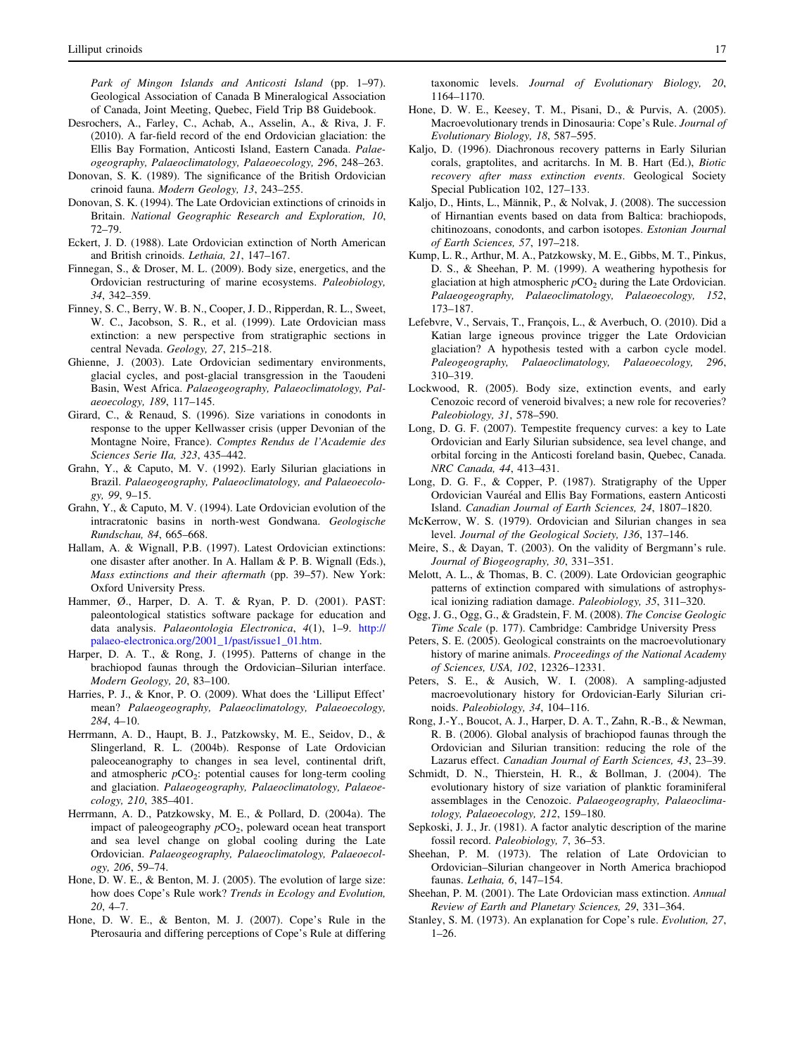<span id="page-10-0"></span>Park of Mingon Islands and Anticosti Island (pp. 1–97). Geological Association of Canada B Mineralogical Association of Canada, Joint Meeting, Quebec, Field Trip B8 Guidebook.

- Desrochers, A., Farley, C., Achab, A., Asselin, A., & Riva, J. F. (2010). A far-field record of the end Ordovician glaciation: the Ellis Bay Formation, Anticosti Island, Eastern Canada. Palaeogeography, Palaeoclimatology, Palaeoecology, 296, 248–263.
- Donovan, S. K. (1989). The significance of the British Ordovician crinoid fauna. Modern Geology, 13, 243–255.
- Donovan, S. K. (1994). The Late Ordovician extinctions of crinoids in Britain. National Geographic Research and Exploration, 10, 72–79.
- Eckert, J. D. (1988). Late Ordovician extinction of North American and British crinoids. Lethaia, 21, 147–167.
- Finnegan, S., & Droser, M. L. (2009). Body size, energetics, and the Ordovician restructuring of marine ecosystems. Paleobiology, 34, 342–359.
- Finney, S. C., Berry, W. B. N., Cooper, J. D., Ripperdan, R. L., Sweet, W. C., Jacobson, S. R., et al. (1999). Late Ordovician mass extinction: a new perspective from stratigraphic sections in central Nevada. Geology, 27, 215–218.
- Ghienne, J. (2003). Late Ordovician sedimentary environments, glacial cycles, and post-glacial transgression in the Taoudeni Basin, West Africa. Palaeogeography, Palaeoclimatology, Palaeoecology, 189, 117–145.
- Girard, C., & Renaud, S. (1996). Size variations in conodonts in response to the upper Kellwasser crisis (upper Devonian of the Montagne Noire, France). Comptes Rendus de l'Academie des Sciences Serie IIa, 323, 435–442.
- Grahn, Y., & Caputo, M. V. (1992). Early Silurian glaciations in Brazil. Palaeogeography, Palaeoclimatology, and Palaeoecology, 99, 9–15.
- Grahn, Y., & Caputo, M. V. (1994). Late Ordovician evolution of the intracratonic basins in north-west Gondwana. Geologische Rundschau, 84, 665–668.
- Hallam, A. & Wignall, P.B. (1997). Latest Ordovician extinctions: one disaster after another. In A. Hallam & P. B. Wignall (Eds.), Mass extinctions and their aftermath (pp. 39–57). New York: Oxford University Press.
- Hammer, Ø., Harper, D. A. T. & Ryan, P. D. (2001). PAST: paleontological statistics software package for education and data analysis. Palaeontologia Electronica, 4(1), 1–9. [http://](http://palaeo-electronica.org/2001_1/past/issue1_01.htm) [palaeo-electronica.org/2001\\_1/past/issue1\\_01.htm](http://palaeo-electronica.org/2001_1/past/issue1_01.htm).
- Harper, D. A. T., & Rong, J. (1995). Patterns of change in the brachiopod faunas through the Ordovician–Silurian interface. Modern Geology, 20, 83–100.
- Harries, P. J., & Knor, P. O. (2009). What does the 'Lilliput Effect' mean? Palaeogeography, Palaeoclimatology, Palaeoecology, 284, 4–10.
- Herrmann, A. D., Haupt, B. J., Patzkowsky, M. E., Seidov, D., & Slingerland, R. L. (2004b). Response of Late Ordovician paleoceanography to changes in sea level, continental drift, and atmospheric  $pCO_2$ : potential causes for long-term cooling and glaciation. Palaeogeography, Palaeoclimatology, Palaeoecology, 210, 385–401.
- Herrmann, A. D., Patzkowsky, M. E., & Pollard, D. (2004a). The impact of paleogeography  $pCO<sub>2</sub>$ , poleward ocean heat transport and sea level change on global cooling during the Late Ordovician. Palaeogeography, Palaeoclimatology, Palaeoecology, 206, 59–74.
- Hone, D. W. E., & Benton, M. J. (2005). The evolution of large size: how does Cope's Rule work? Trends in Ecology and Evolution, 20, 4–7.
- Hone, D. W. E., & Benton, M. J. (2007). Cope's Rule in the Pterosauria and differing perceptions of Cope's Rule at differing

taxonomic levels. Journal of Evolutionary Biology, 20, 1164–1170.

- Hone, D. W. E., Keesey, T. M., Pisani, D., & Purvis, A. (2005). Macroevolutionary trends in Dinosauria: Cope's Rule. Journal of Evolutionary Biology, 18, 587–595.
- Kaljo, D. (1996). Diachronous recovery patterns in Early Silurian corals, graptolites, and acritarchs. In M. B. Hart (Ed.), Biotic recovery after mass extinction events. Geological Society Special Publication 102, 127–133.
- Kaljo, D., Hints, L., Männik, P., & Nolvak, J. (2008). The succession of Hirnantian events based on data from Baltica: brachiopods, chitinozoans, conodonts, and carbon isotopes. Estonian Journal of Earth Sciences, 57, 197–218.
- Kump, L. R., Arthur, M. A., Patzkowsky, M. E., Gibbs, M. T., Pinkus, D. S., & Sheehan, P. M. (1999). A weathering hypothesis for glaciation at high atmospheric  $pCO<sub>2</sub>$  during the Late Ordovician. Palaeogeography, Palaeoclimatology, Palaeoecology, 152, 173–187.
- Lefebvre, V., Servais, T., François, L., & Averbuch, O. (2010). Did a Katian large igneous province trigger the Late Ordovician glaciation? A hypothesis tested with a carbon cycle model. Paleogeography, Palaeoclimatology, Palaeoecology, 296, 310–319.
- Lockwood, R. (2005). Body size, extinction events, and early Cenozoic record of veneroid bivalves; a new role for recoveries? Paleobiology, 31, 578–590.
- Long, D. G. F. (2007). Tempestite frequency curves: a key to Late Ordovician and Early Silurian subsidence, sea level change, and orbital forcing in the Anticosti foreland basin, Quebec, Canada. NRC Canada, 44, 413–431.
- Long, D. G. F., & Copper, P. (1987). Stratigraphy of the Upper Ordovician Vauréal and Ellis Bay Formations, eastern Anticosti Island. Canadian Journal of Earth Sciences, 24, 1807–1820.
- McKerrow, W. S. (1979). Ordovician and Silurian changes in sea level. Journal of the Geological Society, 136, 137–146.
- Meire, S., & Dayan, T. (2003). On the validity of Bergmann's rule. Journal of Biogeography, 30, 331–351.
- Melott, A. L., & Thomas, B. C. (2009). Late Ordovician geographic patterns of extinction compared with simulations of astrophysical ionizing radiation damage. Paleobiology, 35, 311–320.
- Ogg, J. G., Ogg, G., & Gradstein, F. M. (2008). The Concise Geologic Time Scale (p. 177). Cambridge: Cambridge University Press
- Peters, S. E. (2005). Geological constraints on the macroevolutionary history of marine animals. Proceedings of the National Academy of Sciences, USA, 102, 12326–12331.
- Peters, S. E., & Ausich, W. I. (2008). A sampling-adjusted macroevolutionary history for Ordovician-Early Silurian crinoids. Paleobiology, 34, 104–116.
- Rong, J.-Y., Boucot, A. J., Harper, D. A. T., Zahn, R.-B., & Newman, R. B. (2006). Global analysis of brachiopod faunas through the Ordovician and Silurian transition: reducing the role of the Lazarus effect. Canadian Journal of Earth Sciences, 43, 23–39.
- Schmidt, D. N., Thierstein, H. R., & Bollman, J. (2004). The evolutionary history of size variation of planktic foraminiferal assemblages in the Cenozoic. Palaeogeography, Palaeoclimatology, Palaeoecology, 212, 159–180.
- Sepkoski, J. J., Jr. (1981). A factor analytic description of the marine fossil record. Paleobiology, 7, 36–53.
- Sheehan, P. M. (1973). The relation of Late Ordovician to Ordovician–Silurian changeover in North America brachiopod faunas. Lethaia, 6, 147–154.
- Sheehan, P. M. (2001). The Late Ordovician mass extinction. Annual Review of Earth and Planetary Sciences, 29, 331–364.
- Stanley, S. M. (1973). An explanation for Cope's rule. Evolution, 27,  $1-26$ .